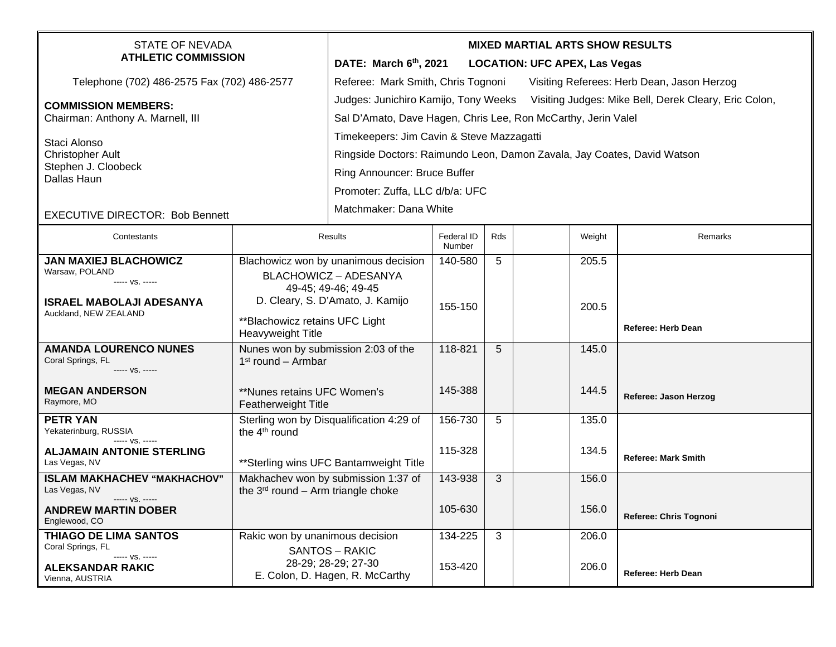| STATE OF NEVADA<br><b>ATHLETIC COMMISSION</b>                        |                                                                                | <b>MIXED MARTIAL ARTS SHOW RESULTS</b><br>DATE: March 6th, 2021<br><b>LOCATION: UFC APEX, Las Vegas</b>                                                     |                      |     |  |        |                            |  |
|----------------------------------------------------------------------|--------------------------------------------------------------------------------|-------------------------------------------------------------------------------------------------------------------------------------------------------------|----------------------|-----|--|--------|----------------------------|--|
| Telephone (702) 486-2575 Fax (702) 486-2577                          |                                                                                | Referee: Mark Smith, Chris Tognoni<br>Visiting Referees: Herb Dean, Jason Herzog                                                                            |                      |     |  |        |                            |  |
| <b>COMMISSION MEMBERS:</b><br>Chairman: Anthony A. Marnell, III      |                                                                                | Judges: Junichiro Kamijo, Tony Weeks Visiting Judges: Mike Bell, Derek Cleary, Eric Colon,<br>Sal D'Amato, Dave Hagen, Chris Lee, Ron McCarthy, Jerin Valel |                      |     |  |        |                            |  |
| Staci Alonso<br><b>Christopher Ault</b>                              |                                                                                | Timekeepers: Jim Cavin & Steve Mazzagatti<br>Ringside Doctors: Raimundo Leon, Damon Zavala, Jay Coates, David Watson                                        |                      |     |  |        |                            |  |
| Stephen J. Cloobeck<br>Dallas Haun                                   |                                                                                | Ring Announcer: Bruce Buffer                                                                                                                                |                      |     |  |        |                            |  |
|                                                                      |                                                                                | Promoter: Zuffa, LLC d/b/a: UFC                                                                                                                             |                      |     |  |        |                            |  |
| <b>EXECUTIVE DIRECTOR: Bob Bennett</b>                               |                                                                                | Matchmaker: Dana White                                                                                                                                      |                      |     |  |        |                            |  |
| Contestants                                                          |                                                                                | Results                                                                                                                                                     | Federal ID<br>Number | Rds |  | Weight | Remarks                    |  |
| <b>JAN MAXIEJ BLACHOWICZ</b>                                         |                                                                                | Blachowicz won by unanimous decision                                                                                                                        | 140-580              | 5   |  | 205.5  |                            |  |
| Warsaw, POLAND<br>----- VS. -----                                    |                                                                                | <b>BLACHOWICZ - ADESANYA</b><br>49-45; 49-46; 49-45                                                                                                         |                      |     |  |        |                            |  |
| <b>ISRAEL MABOLAJI ADESANYA</b>                                      | D. Cleary, S. D'Amato, J. Kamijo                                               |                                                                                                                                                             | 155-150              |     |  | 200.5  |                            |  |
| Auckland, NEW ZEALAND                                                | ** Blachowicz retains UFC Light<br>Heavyweight Title                           |                                                                                                                                                             |                      |     |  |        | <b>Referee: Herb Dean</b>  |  |
| <b>AMANDA LOURENCO NUNES</b><br>Coral Springs, FL<br>----- VS. ----- | Nunes won by submission 2:03 of the<br>$1st$ round – Armbar                    |                                                                                                                                                             | 118-821              | 5   |  | 145.0  |                            |  |
| <b>MEGAN ANDERSON</b><br>Raymore, MO                                 | **Nunes retains UFC Women's<br><b>Featherweight Title</b>                      |                                                                                                                                                             | 145-388              |     |  | 144.5  | Referee: Jason Herzog      |  |
| <b>PETR YAN</b><br>Yekaterinburg, RUSSIA<br>$--- V.S. ---$           | Sterling won by Disqualification 4:29 of<br>the 4 <sup>th</sup> round          |                                                                                                                                                             | 156-730              | 5   |  | 135.0  |                            |  |
| <b>ALJAMAIN ANTONIE STERLING</b><br>Las Vegas, NV                    |                                                                                | ** Sterling wins UFC Bantamweight Title                                                                                                                     | 115-328              |     |  | 134.5  | <b>Referee: Mark Smith</b> |  |
| <b>ISLAM MAKHACHEV "MAKHACHOV"</b><br>Las Vegas, NV                  | Makhachev won by submission 1:37 of<br>the $3^{rd}$ round – Arm triangle choke |                                                                                                                                                             | 143-938              | 3   |  | 156.0  |                            |  |
| ----- VS. -----<br><b>ANDREW MARTIN DOBER</b><br>Englewood, CO       |                                                                                |                                                                                                                                                             | 105-630              |     |  | 156.0  | Referee: Chris Tognoni     |  |
| <b>THIAGO DE LIMA SANTOS</b><br>Coral Springs, FL                    | Rakic won by unanimous decision                                                |                                                                                                                                                             | 134-225              | 3   |  | 206.0  |                            |  |
| ----- VS. -----<br><b>ALEKSANDAR RAKIC</b><br>Vienna, AUSTRIA        |                                                                                | SANTOS - RAKIC<br>28-29; 28-29; 27-30<br>E. Colon, D. Hagen, R. McCarthy                                                                                    | 153-420              |     |  | 206.0  | <b>Referee: Herb Dean</b>  |  |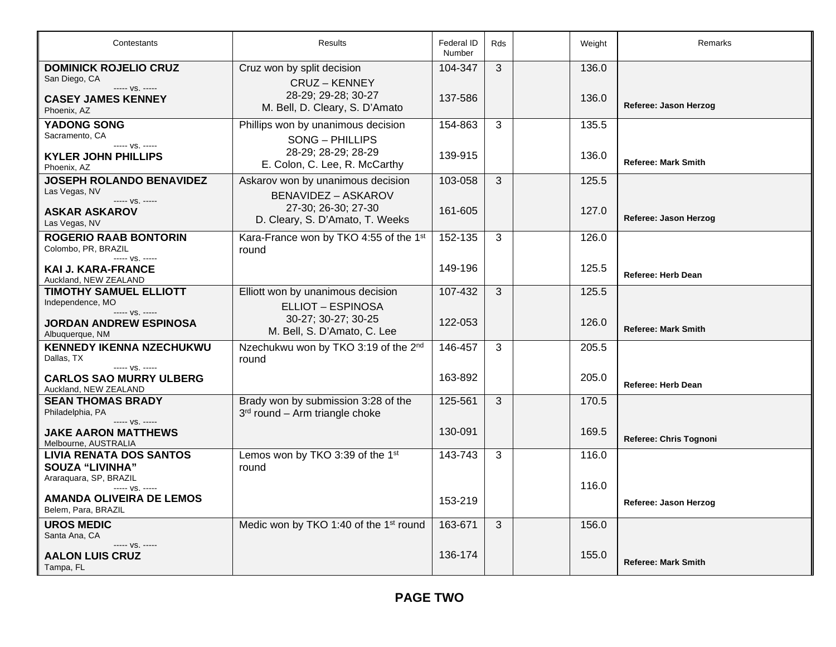| Contestants                                                     | Results                                                                   | Federal ID<br>Number | Rds | Weight | Remarks                    |
|-----------------------------------------------------------------|---------------------------------------------------------------------------|----------------------|-----|--------|----------------------------|
| <b>DOMINICK ROJELIO CRUZ</b><br>San Diego, CA<br>$--- VS. ---$  | Cruz won by split decision<br><b>CRUZ - KENNEY</b><br>28-29; 29-28; 30-27 | 104-347              | 3   | 136.0  |                            |
| <b>CASEY JAMES KENNEY</b><br>Phoenix, AZ                        | M. Bell, D. Cleary, S. D'Amato                                            | 137-586              |     | 136.0  | Referee: Jason Herzog      |
| <b>YADONG SONG</b><br>Sacramento, CA                            | Phillips won by unanimous decision<br>SONG - PHILLIPS                     | 154-863              | 3   | 135.5  |                            |
| ----- VS. -----<br><b>KYLER JOHN PHILLIPS</b><br>Phoenix, AZ    | 28-29; 28-29; 28-29<br>E. Colon, C. Lee, R. McCarthy                      | 139-915              |     | 136.0  | <b>Referee: Mark Smith</b> |
| <b>JOSEPH ROLANDO BENAVIDEZ</b><br>Las Vegas, NV                | Askarov won by unanimous decision<br><b>BENAVIDEZ - ASKAROV</b>           | 103-058              | 3   | 125.5  |                            |
| ----- VS. -----<br><b>ASKAR ASKAROV</b><br>Las Vegas, NV        | 27-30; 26-30; 27-30<br>D. Cleary, S. D'Amato, T. Weeks                    | 161-605              |     | 127.0  | Referee: Jason Herzog      |
| <b>ROGERIO RAAB BONTORIN</b><br>Colombo, PR, BRAZIL             | Kara-France won by TKO 4:55 of the 1st<br>round                           | 152-135              | 3   | 126.0  |                            |
| $--- VS. ---$<br>KAI J. KARA-FRANCE<br>Auckland, NEW ZEALAND    |                                                                           | 149-196              |     | 125.5  | <b>Referee: Herb Dean</b>  |
| <b>TIMOTHY SAMUEL ELLIOTT</b><br>Independence, MO               | Elliott won by unanimous decision<br><b>ELLIOT - ESPINOSA</b>             | 107-432              | 3   | 125.5  |                            |
| ----- VS. -----<br>JORDAN ANDREW ESPINOSA<br>Albuquerque, NM    | 30-27; 30-27; 30-25<br>M. Bell, S. D'Amato, C. Lee                        | 122-053              |     | 126.0  | <b>Referee: Mark Smith</b> |
| <b>KENNEDY IKENNA NZECHUKWU</b><br>Dallas, TX<br>$--- VS. ---$  | Nzechukwu won by TKO 3:19 of the 2nd<br>round                             | 146-457              | 3   | 205.5  |                            |
| <b>CARLOS SAO MURRY ULBERG</b><br>Auckland, NEW ZEALAND         |                                                                           | 163-892              |     | 205.0  | <b>Referee: Herb Dean</b>  |
| <b>SEAN THOMAS BRADY</b><br>Philadelphia, PA<br>----- VS. ----- | Brady won by submission 3:28 of the<br>3rd round - Arm triangle choke     | 125-561              | 3   | 170.5  |                            |
| JAKE AARON MATTHEWS<br>Melbourne, AUSTRALIA                     |                                                                           | 130-091              |     | 169.5  | Referee: Chris Tognoni     |
| <b>LIVIA RENATA DOS SANTOS</b><br><b>SOUZA "LIVINHA"</b>        | Lemos won by TKO 3:39 of the 1st<br>round                                 | 143-743              | 3   | 116.0  |                            |
| Araraquara, SP, BRAZIL<br>----- VS. -----                       |                                                                           |                      |     | 116.0  |                            |
| AMANDA OLIVEIRA DE LEMOS<br>Belem, Para, BRAZIL                 |                                                                           | 153-219              |     |        | Referee: Jason Herzog      |
| <b>UROS MEDIC</b><br>Santa Ana, CA                              | Medic won by TKO 1:40 of the 1 <sup>st</sup> round                        | 163-671              | 3   | 156.0  |                            |
| ----- VS. -----<br><b>AALON LUIS CRUZ</b><br>Tampa, FL          |                                                                           | 136-174              |     | 155.0  | <b>Referee: Mark Smith</b> |